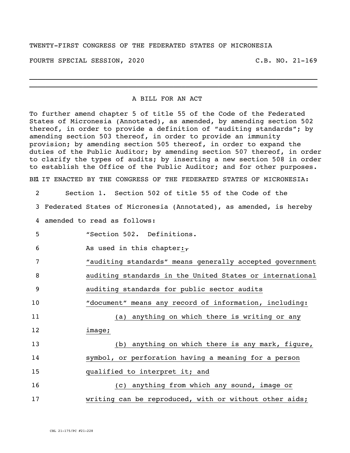## TWENTY-FIRST CONGRESS OF THE FEDERATED STATES OF MICRONESIA

FOURTH SPECIAL SESSION, 2020 C.B. NO. 21-169

## A BILL FOR AN ACT

\_\_\_\_\_\_\_\_\_\_\_\_\_\_\_\_\_\_\_\_\_\_\_\_\_\_\_\_\_\_\_\_\_\_\_\_\_\_\_\_\_\_\_\_\_\_\_\_\_\_\_\_\_\_\_\_\_\_\_\_\_\_\_\_\_\_\_\_\_\_ \_\_\_\_\_\_\_\_\_\_\_\_\_\_\_\_\_\_\_\_\_\_\_\_\_\_\_\_\_\_\_\_\_\_\_\_\_\_\_\_\_\_\_\_\_\_\_\_\_\_\_\_\_\_\_\_\_\_\_\_\_\_\_\_\_\_\_\_\_\_

To further amend chapter 5 of title 55 of the Code of the Federated States of Micronesia (Annotated), as amended, by amending section 502 thereof, in order to provide a definition of "auditing standards"; by amending section 503 thereof, in order to provide an immunity provision; by amending section 505 thereof, in order to expand the duties of the Public Auditor; by amending section 507 thereof, in order to clarify the types of audits; by inserting a new section 508 in order to establish the Office of the Public Auditor; and for other purposes. BE IT ENACTED BY THE CONGRESS OF THE FEDERATED STATES OF MICRONESIA: 2 Section 1. Section 502 of title 55 of the Code of the 3 Federated States of Micronesia (Annotated), as amended, is hereby 4 amended to read as follows: 5 "Section 502. Definitions. 6 As used in this chapter: $\tau$ 7 "auditing standards" means generally accepted government 8 auditing standards in the United States or international 9 auditing standards for public sector audits 10 "document" means any record of information, including: 11 (a) anything on which there is writing or any 12 image; 13 (b) anything on which there is any mark, figure, 14 symbol, or perforation having a meaning for a person 15 qualified to interpret it; and 16 (c) anything from which any sound, image or 17 writing can be reproduced, with or without other aids;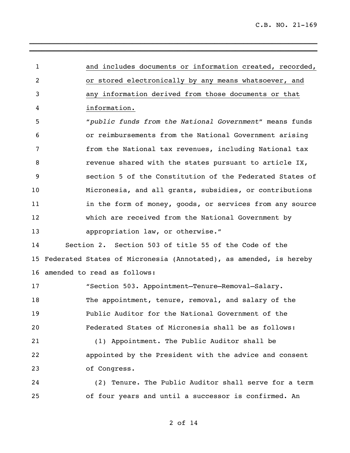and includes documents or information created, recorded, or stored electronically by any means whatsoever, and any information derived from those documents or that information. "*public funds from the National Government*" means funds or reimbursements from the National Government arising from the National tax revenues, including National tax **8** revenue shared with the states pursuant to article IX, section 5 of the Constitution of the Federated States of Micronesia, and all grants, subsidies, or contributions 11 11 in the form of money, goods, or services from any source which are received from the National Government by 13 appropriation law, or otherwise." Section 2. Section 503 of title 55 of the Code of the Federated States of Micronesia (Annotated), as amended, is hereby amended to read as follows: "Section 503. Appointment—Tenure—Removal—Salary. The appointment, tenure, removal, and salary of the Public Auditor for the National Government of the Federated States of Micronesia shall be as follows: (1) Appointment. The Public Auditor shall be appointed by the President with the advice and consent of Congress.

\_\_\_\_\_\_\_\_\_\_\_\_\_\_\_\_\_\_\_\_\_\_\_\_\_\_\_\_\_\_\_\_\_\_\_\_\_\_\_\_\_\_\_\_\_\_\_\_\_\_\_\_\_\_\_\_\_\_\_\_\_\_\_\_\_\_\_\_\_\_ **\_\_\_\_\_\_\_\_\_\_\_\_\_\_\_\_\_\_\_\_\_\_\_\_\_\_\_\_\_\_\_\_\_\_\_\_\_\_\_\_\_\_\_\_\_\_\_\_\_\_\_\_\_\_\_\_\_\_\_\_\_\_\_\_\_\_\_\_\_\_**

 (2) Tenure. The Public Auditor shall serve for a term of four years and until a successor is confirmed. An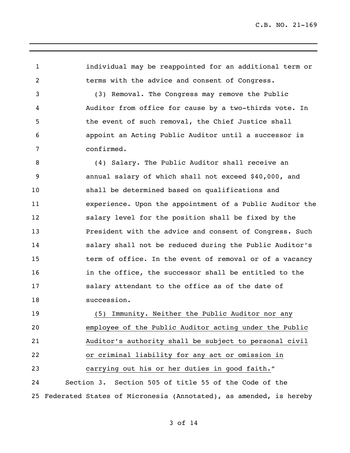individual may be reappointed for an additional term or terms with the advice and consent of Congress.

\_\_\_\_\_\_\_\_\_\_\_\_\_\_\_\_\_\_\_\_\_\_\_\_\_\_\_\_\_\_\_\_\_\_\_\_\_\_\_\_\_\_\_\_\_\_\_\_\_\_\_\_\_\_\_\_\_\_\_\_\_\_\_\_\_\_\_\_\_\_ **\_\_\_\_\_\_\_\_\_\_\_\_\_\_\_\_\_\_\_\_\_\_\_\_\_\_\_\_\_\_\_\_\_\_\_\_\_\_\_\_\_\_\_\_\_\_\_\_\_\_\_\_\_\_\_\_\_\_\_\_\_\_\_\_\_\_\_\_\_\_**

 (3) Removal. The Congress may remove the Public Auditor from office for cause by a two-thirds vote. In the event of such removal, the Chief Justice shall appoint an Acting Public Auditor until a successor is confirmed.

 (4) Salary. The Public Auditor shall receive an annual salary of which shall not exceed \$40,000, and shall be determined based on qualifications and experience. Upon the appointment of a Public Auditor the salary level for the position shall be fixed by the President with the advice and consent of Congress. Such salary shall not be reduced during the Public Auditor's term of office. In the event of removal or of a vacancy in the office, the successor shall be entitled to the salary attendant to the office as of the date of succession.

 (5) Immunity. Neither the Public Auditor nor any employee of the Public Auditor acting under the Public Auditor's authority shall be subject to personal civil or criminal liability for any act or omission in carrying out his or her duties in good faith." Section 3. Section 505 of title 55 of the Code of the Federated States of Micronesia (Annotated), as amended, is hereby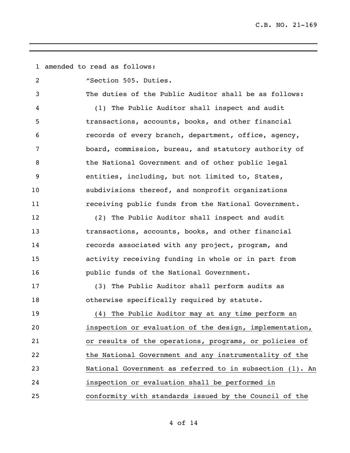amended to read as follows: "Section 505. Duties. The duties of the Public Auditor shall be as follows: (1) The Public Auditor shall inspect and audit transactions, accounts, books, and other financial records of every branch, department, office, agency, board, commission, bureau, and statutory authority of 8 the National Government and of other public legal entities, including, but not limited to, States, subdivisions thereof, and nonprofit organizations receiving public funds from the National Government. (2) The Public Auditor shall inspect and audit transactions, accounts, books, and other financial records associated with any project, program, and activity receiving funding in whole or in part from public funds of the National Government. (3) The Public Auditor shall perform audits as otherwise specifically required by statute. (4) The Public Auditor may at any time perform an inspection or evaluation of the design, implementation, or results of the operations, programs, or policies of the National Government and any instrumentality of the National Government as referred to in subsection (1). An inspection or evaluation shall be performed in conformity with standards issued by the Council of the

\_\_\_\_\_\_\_\_\_\_\_\_\_\_\_\_\_\_\_\_\_\_\_\_\_\_\_\_\_\_\_\_\_\_\_\_\_\_\_\_\_\_\_\_\_\_\_\_\_\_\_\_\_\_\_\_\_\_\_\_\_\_\_\_\_\_\_\_\_\_ **\_\_\_\_\_\_\_\_\_\_\_\_\_\_\_\_\_\_\_\_\_\_\_\_\_\_\_\_\_\_\_\_\_\_\_\_\_\_\_\_\_\_\_\_\_\_\_\_\_\_\_\_\_\_\_\_\_\_\_\_\_\_\_\_\_\_\_\_\_\_**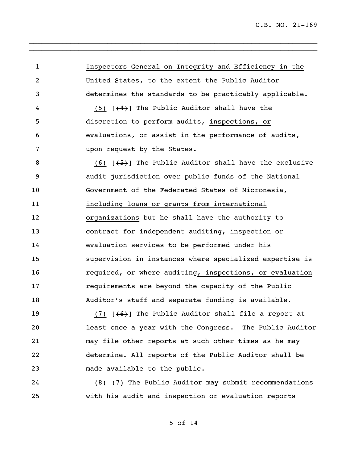| $\mathbf{1}$   | Inspectors General on Integrity and Efficiency in the                                                                                                                                                                           |
|----------------|---------------------------------------------------------------------------------------------------------------------------------------------------------------------------------------------------------------------------------|
| $\overline{2}$ | United States, to the extent the Public Auditor                                                                                                                                                                                 |
| 3              | determines the standards to be practicably applicable.                                                                                                                                                                          |
| 4              | $(5)$ $[$ $(4)$ The Public Auditor shall have the                                                                                                                                                                               |
| 5              | discretion to perform audits, inspections, or                                                                                                                                                                                   |
| 6              | evaluations, or assist in the performance of audits,                                                                                                                                                                            |
| 7              | upon request by the States.                                                                                                                                                                                                     |
| 8              | $(6)$ $\left[\frac{+5}{5}\right]$ The Public Auditor shall have the exclusive                                                                                                                                                   |
| 9              | audit jurisdiction over public funds of the National                                                                                                                                                                            |
| 10             | Government of the Federated States of Micronesia,                                                                                                                                                                               |
| 11             | including loans or grants from international                                                                                                                                                                                    |
| 12             | organizations but he shall have the authority to                                                                                                                                                                                |
| 13             | contract for independent auditing, inspection or                                                                                                                                                                                |
| 14             | evaluation services to be performed under his                                                                                                                                                                                   |
| 15             | supervision in instances where specialized expertise is                                                                                                                                                                         |
| 16             | required, or where auditing, inspections, or evaluation                                                                                                                                                                         |
| 17             | requirements are beyond the capacity of the Public                                                                                                                                                                              |
| 18             | Auditor's staff and separate funding is available.                                                                                                                                                                              |
| 19             | $(7)$ $(6)$ The Public Auditor shall file a report at                                                                                                                                                                           |
| $\sim$ $\sim$  | $\sim$ . The contract of the contract of the contract of the contract of the contract of the contract of the contract of the contract of the contract of the contract of the contract of the contract of the contract of the co |

\_\_\_\_\_\_\_\_\_\_\_\_\_\_\_\_\_\_\_\_\_\_\_\_\_\_\_\_\_\_\_\_\_\_\_\_\_\_\_\_\_\_\_\_\_\_\_\_\_\_\_\_\_\_\_\_\_\_\_\_\_\_\_\_\_\_\_\_\_\_ **\_\_\_\_\_\_\_\_\_\_\_\_\_\_\_\_\_\_\_\_\_\_\_\_\_\_\_\_\_\_\_\_\_\_\_\_\_\_\_\_\_\_\_\_\_\_\_\_\_\_\_\_\_\_\_\_\_\_\_\_\_\_\_\_\_\_\_\_\_\_**

 least once a year with the Congress. The Public Auditor may file other reports at such other times as he may determine. All reports of the Public Auditor shall be made available to the public.

24 (8)  $\{7\}$  The Public Auditor may submit recommendations with his audit and inspection or evaluation reports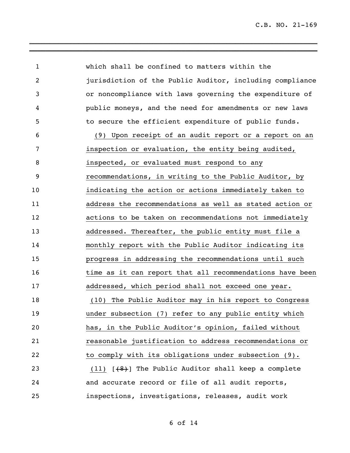| $\mathbf{1}$   | which shall be confined to matters within the            |
|----------------|----------------------------------------------------------|
| $\overline{2}$ | jurisdiction of the Public Auditor, including compliance |
| 3              | or noncompliance with laws governing the expenditure of  |
| 4              | public moneys, and the need for amendments or new laws   |
| 5              | to secure the efficient expenditure of public funds.     |
| 6              | (9) Upon receipt of an audit report or a report on an    |
| 7              | inspection or evaluation, the entity being audited,      |
| 8              | inspected, or evaluated must respond to any              |
| 9              | recommendations, in writing to the Public Auditor, by    |
| 10             | indicating the action or actions immediately taken to    |
| 11             | address the recommendations as well as stated action or  |
| 12             | actions to be taken on recommendations not immediately   |
| 13             | addressed. Thereafter, the public entity must file a     |
| 14             | monthly report with the Public Auditor indicating its    |
| 15             | progress in addressing the recommendations until such    |
| 16             | time as it can report that all recommendations have been |
| 17             | addressed, which period shall not exceed one year.       |
| 18             | (10) The Public Auditor may in his report to Congress    |
| 19             | under subsection (7) refer to any public entity which    |
| 20             | has, in the Public Auditor's opinion, failed without     |
| 21             | reasonable justification to address recommendations or   |
| 22             | to comply with its obligations under subsection (9).     |
| 23             | $(11)$ $(48)$ The Public Auditor shall keep a complete   |
| 24             | and accurate record or file of all audit reports,        |
| 25             | inspections, investigations, releases, audit work        |

\_\_\_\_\_\_\_\_\_\_\_\_\_\_\_\_\_\_\_\_\_\_\_\_\_\_\_\_\_\_\_\_\_\_\_\_\_\_\_\_\_\_\_\_\_\_\_\_\_\_\_\_\_\_\_\_\_\_\_\_\_\_\_\_\_\_\_\_\_\_ **\_\_\_\_\_\_\_\_\_\_\_\_\_\_\_\_\_\_\_\_\_\_\_\_\_\_\_\_\_\_\_\_\_\_\_\_\_\_\_\_\_\_\_\_\_\_\_\_\_\_\_\_\_\_\_\_\_\_\_\_\_\_\_\_\_\_\_\_\_\_**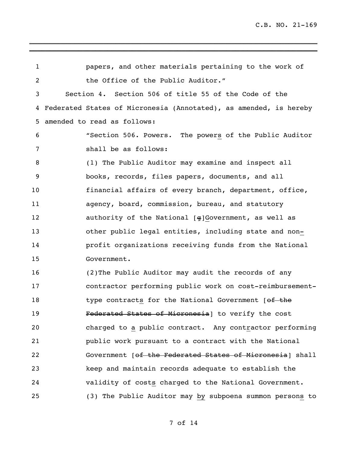papers, and other materials pertaining to the work of 2 the Office of the Public Auditor." Section 4. Section 506 of title 55 of the Code of the Federated States of Micronesia (Annotated), as amended, is hereby amended to read as follows: "Section 506. Powers. The powers of the Public Auditor shall be as follows: (1) The Public Auditor may examine and inspect all books, records, files papers, documents, and all financial affairs of every branch, department, office, agency, board, commission, bureau, and statutory authority of the National [g]Government, as well as other public legal entities, including state and non- profit organizations receiving funds from the National Government. (2)The Public Auditor may audit the records of any contractor performing public work on cost-reimbursement-18 type contracts for the National Government [of the Federated States of Micronesia] to verify the cost charged to a public contract. Any contractor performing public work pursuant to a contract with the National 22 Government [of the Federated States of Micronesia] shall keep and maintain records adequate to establish the validity of costs charged to the National Government. (3) The Public Auditor may by subpoena summon persons to

\_\_\_\_\_\_\_\_\_\_\_\_\_\_\_\_\_\_\_\_\_\_\_\_\_\_\_\_\_\_\_\_\_\_\_\_\_\_\_\_\_\_\_\_\_\_\_\_\_\_\_\_\_\_\_\_\_\_\_\_\_\_\_\_\_\_\_\_\_\_ **\_\_\_\_\_\_\_\_\_\_\_\_\_\_\_\_\_\_\_\_\_\_\_\_\_\_\_\_\_\_\_\_\_\_\_\_\_\_\_\_\_\_\_\_\_\_\_\_\_\_\_\_\_\_\_\_\_\_\_\_\_\_\_\_\_\_\_\_\_\_**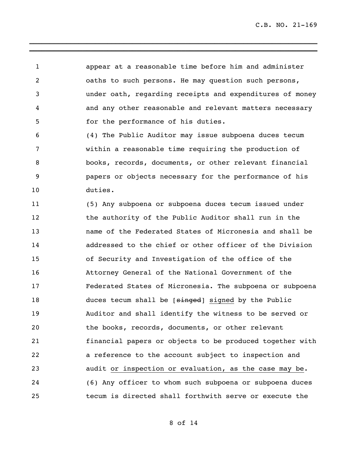appear at a reasonable time before him and administer oaths to such persons. He may question such persons, under oath, regarding receipts and expenditures of money and any other reasonable and relevant matters necessary for the performance of his duties.

\_\_\_\_\_\_\_\_\_\_\_\_\_\_\_\_\_\_\_\_\_\_\_\_\_\_\_\_\_\_\_\_\_\_\_\_\_\_\_\_\_\_\_\_\_\_\_\_\_\_\_\_\_\_\_\_\_\_\_\_\_\_\_\_\_\_\_\_\_\_ **\_\_\_\_\_\_\_\_\_\_\_\_\_\_\_\_\_\_\_\_\_\_\_\_\_\_\_\_\_\_\_\_\_\_\_\_\_\_\_\_\_\_\_\_\_\_\_\_\_\_\_\_\_\_\_\_\_\_\_\_\_\_\_\_\_\_\_\_\_\_**

 (4) The Public Auditor may issue subpoena duces tecum within a reasonable time requiring the production of books, records, documents, or other relevant financial papers or objects necessary for the performance of his duties.

 (5) Any subpoena or subpoena duces tecum issued under the authority of the Public Auditor shall run in the name of the Federated States of Micronesia and shall be addressed to the chief or other officer of the Division of Security and Investigation of the office of the Attorney General of the National Government of the Federated States of Micronesia. The subpoena or subpoena 18 duces tecum shall be [singed] signed by the Public Auditor and shall identify the witness to be served or the books, records, documents, or other relevant financial papers or objects to be produced together with a reference to the account subject to inspection and audit or inspection or evaluation, as the case may be. (6) Any officer to whom such subpoena or subpoena duces tecum is directed shall forthwith serve or execute the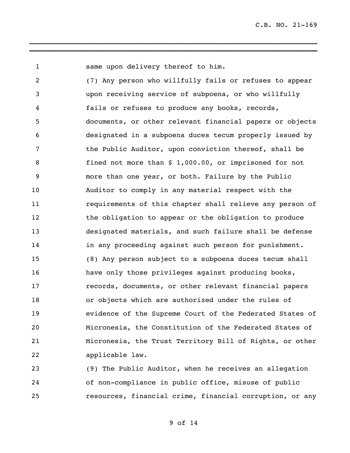same upon delivery thereof to him.

 (7) Any person who willfully fails or refuses to appear upon receiving service of subpoena, or who willfully fails or refuses to produce any books, records, documents, or other relevant financial papers or objects designated in a subpoena duces tecum properly issued by the Public Auditor, upon conviction thereof, shall be fined not more than \$ 1,000.00, or imprisoned for not more than one year, or both. Failure by the Public Auditor to comply in any material respect with the requirements of this chapter shall relieve any person of the obligation to appear or the obligation to produce designated materials, and such failure shall be defense 14 in any proceeding against such person for punishment. (8) Any person subject to a subpoena duces tecum shall have only those privileges against producing books, records, documents, or other relevant financial papers or objects which are authorized under the rules of evidence of the Supreme Court of the Federated States of Micronesia, the Constitution of the Federated States of Micronesia, the Trust Territory Bill of Rights, or other applicable law.

\_\_\_\_\_\_\_\_\_\_\_\_\_\_\_\_\_\_\_\_\_\_\_\_\_\_\_\_\_\_\_\_\_\_\_\_\_\_\_\_\_\_\_\_\_\_\_\_\_\_\_\_\_\_\_\_\_\_\_\_\_\_\_\_\_\_\_\_\_\_ **\_\_\_\_\_\_\_\_\_\_\_\_\_\_\_\_\_\_\_\_\_\_\_\_\_\_\_\_\_\_\_\_\_\_\_\_\_\_\_\_\_\_\_\_\_\_\_\_\_\_\_\_\_\_\_\_\_\_\_\_\_\_\_\_\_\_\_\_\_\_**

 (9) The Public Auditor, when he receives an allegation of non-compliance in public office, misuse of public resources, financial crime, financial corruption, or any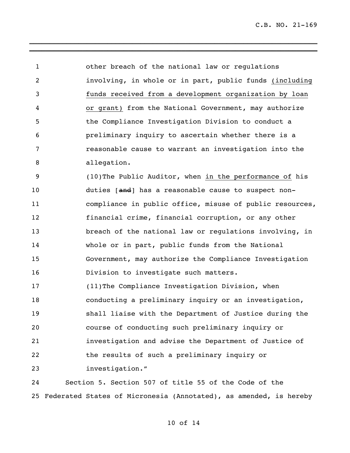other breach of the national law or regulations involving, in whole or in part, public funds (including funds received from a development organization by loan or grant) from the National Government, may authorize the Compliance Investigation Division to conduct a preliminary inquiry to ascertain whether there is a reasonable cause to warrant an investigation into the allegation. (10)The Public Auditor, when in the performance of his 10 duties [and] has a reasonable cause to suspect non- compliance in public office, misuse of public resources, financial crime, financial corruption, or any other breach of the national law or regulations involving, in whole or in part, public funds from the National Government, may authorize the Compliance Investigation Division to investigate such matters. (11)The Compliance Investigation Division, when conducting a preliminary inquiry or an investigation, shall liaise with the Department of Justice during the course of conducting such preliminary inquiry or investigation and advise the Department of Justice of the results of such a preliminary inquiry or

\_\_\_\_\_\_\_\_\_\_\_\_\_\_\_\_\_\_\_\_\_\_\_\_\_\_\_\_\_\_\_\_\_\_\_\_\_\_\_\_\_\_\_\_\_\_\_\_\_\_\_\_\_\_\_\_\_\_\_\_\_\_\_\_\_\_\_\_\_\_ **\_\_\_\_\_\_\_\_\_\_\_\_\_\_\_\_\_\_\_\_\_\_\_\_\_\_\_\_\_\_\_\_\_\_\_\_\_\_\_\_\_\_\_\_\_\_\_\_\_\_\_\_\_\_\_\_\_\_\_\_\_\_\_\_\_\_\_\_\_\_**

investigation."

 Section 5. Section 507 of title 55 of the Code of the Federated States of Micronesia (Annotated), as amended, is hereby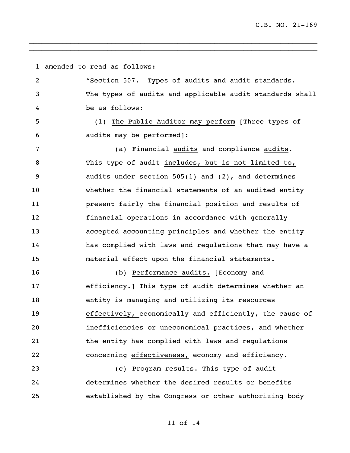amended to read as follows: "Section 507. Types of audits and audit standards. The types of audits and applicable audit standards shall be as follows: 5 (1) The Public Auditor may perform [Three types of audits may be performed]: (a) Financial audits and compliance audits. This type of audit includes, but is not limited to, audits under section 505(1) and (2), and determines whether the financial statements of an audited entity present fairly the financial position and results of financial operations in accordance with generally accepted accounting principles and whether the entity has complied with laws and regulations that may have a material effect upon the financial statements. 16 (b) Performance audits. [Economy and 17 efficiency. This type of audit determines whether an entity is managing and utilizing its resources effectively, economically and efficiently, the cause of inefficiencies or uneconomical practices, and whether the entity has complied with laws and regulations concerning effectiveness, economy and efficiency. (c) Program results. This type of audit determines whether the desired results or benefits established by the Congress or other authorizing body

\_\_\_\_\_\_\_\_\_\_\_\_\_\_\_\_\_\_\_\_\_\_\_\_\_\_\_\_\_\_\_\_\_\_\_\_\_\_\_\_\_\_\_\_\_\_\_\_\_\_\_\_\_\_\_\_\_\_\_\_\_\_\_\_\_\_\_\_\_\_ **\_\_\_\_\_\_\_\_\_\_\_\_\_\_\_\_\_\_\_\_\_\_\_\_\_\_\_\_\_\_\_\_\_\_\_\_\_\_\_\_\_\_\_\_\_\_\_\_\_\_\_\_\_\_\_\_\_\_\_\_\_\_\_\_\_\_\_\_\_\_**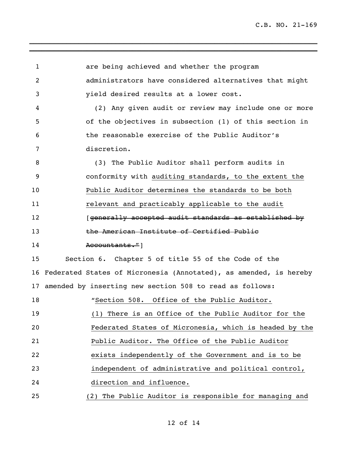| 1              | are being achieved and whether the program                           |
|----------------|----------------------------------------------------------------------|
| $\overline{2}$ | administrators have considered alternatives that might               |
| 3              | yield desired results at a lower cost.                               |
| 4              | (2) Any given audit or review may include one or more                |
| 5              | of the objectives in subsection (1) of this section in               |
| 6              | the reasonable exercise of the Public Auditor's                      |
| 7              | discretion.                                                          |
| 8              | (3) The Public Auditor shall perform audits in                       |
| 9              | conformity with auditing standards, to the extent the                |
| 10             | Public Auditor determines the standards to be both                   |
| 11             | relevant and practicably applicable to the audit                     |
| 12             | [generally accepted audit standards as established by                |
| 13             | the American Institute of Certified Public                           |
| 14             | Accountants."]                                                       |
| 15             | Section 6. Chapter 5 of title 55 of the Code of the                  |
|                | 16 Federated States of Micronesia (Annotated), as amended, is hereby |
|                | 17 amended by inserting new section 508 to read as follows:          |
| 18             | "Section 508. Office of the Public Auditor.                          |
| 19             | (1) There is an Office of the Public Auditor for the                 |
| 20             | Federated States of Micronesia, which is headed by the               |
| 21             | Public Auditor. The Office of the Public Auditor                     |
| 22             | exists independently of the Government and is to be                  |
| 23             | independent of administrative and political control,                 |
| 24             | direction and influence.                                             |
| 25             | (2) The Public Auditor is responsible for managing and               |

\_\_\_\_\_\_\_\_\_\_\_\_\_\_\_\_\_\_\_\_\_\_\_\_\_\_\_\_\_\_\_\_\_\_\_\_\_\_\_\_\_\_\_\_\_\_\_\_\_\_\_\_\_\_\_\_\_\_\_\_\_\_\_\_\_\_\_\_\_\_

**\_\_\_\_\_\_\_\_\_\_\_\_\_\_\_\_\_\_\_\_\_\_\_\_\_\_\_\_\_\_\_\_\_\_\_\_\_\_\_\_\_\_\_\_\_\_\_\_\_\_\_\_\_\_\_\_\_\_\_\_\_\_\_\_\_\_\_\_\_\_**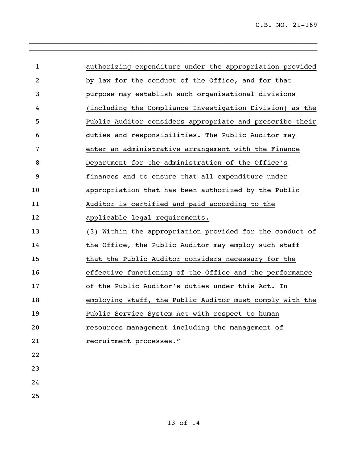| $\mathbf{1}$   | authorizing expenditure under the appropriation provided |
|----------------|----------------------------------------------------------|
| $\overline{2}$ | by law for the conduct of the Office, and for that       |
| 3              | purpose may establish such organisational divisions      |
| 4              | (including the Compliance Investigation Division) as the |
| 5              | Public Auditor considers appropriate and prescribe their |
| 6              | duties and responsibilities. The Public Auditor may      |
| 7              | enter an administrative arrangement with the Finance     |
| 8              | Department for the administration of the Office's        |
| $\overline{9}$ | finances and to ensure that all expenditure under        |
| 10             | appropriation that has been authorized by the Public     |
| 11             | Auditor is certified and paid according to the           |
| 12             | applicable legal requirements.                           |
| 13             | (3) Within the appropriation provided for the conduct of |
| 14             | the Office, the Public Auditor may employ such staff     |
| 15             | that the Public Auditor considers necessary for the      |
| 16             | effective functioning of the Office and the performance  |
| 17             | of the Public Auditor's duties under this Act. In        |
| 18             | employing staff, the Public Auditor must comply with the |
| 19             | Public Service System Act with respect to human          |
| 20             | resources management including the management of         |
| 21             | recruitment processes."                                  |
| 22             |                                                          |
| 23             |                                                          |
| 24             |                                                          |
| 25             |                                                          |
|                |                                                          |

\_\_\_\_\_\_\_\_\_\_\_\_\_\_\_\_\_\_\_\_\_\_\_\_\_\_\_\_\_\_\_\_\_\_\_\_\_\_\_\_\_\_\_\_\_\_\_\_\_\_\_\_\_\_\_\_\_\_\_\_\_\_\_\_\_\_\_\_\_\_

**\_\_\_\_\_\_\_\_\_\_\_\_\_\_\_\_\_\_\_\_\_\_\_\_\_\_\_\_\_\_\_\_\_\_\_\_\_\_\_\_\_\_\_\_\_\_\_\_\_\_\_\_\_\_\_\_\_\_\_\_\_\_\_\_\_\_\_\_\_\_**